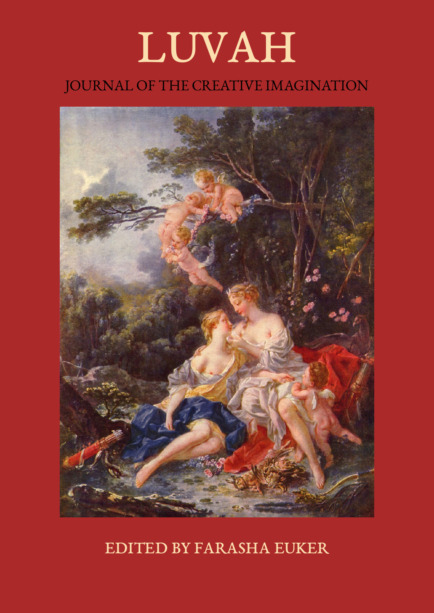# LUVAH JOURNAL OF THE CREATIVE IMAGINATION



EDITED BY FARASHA EUKER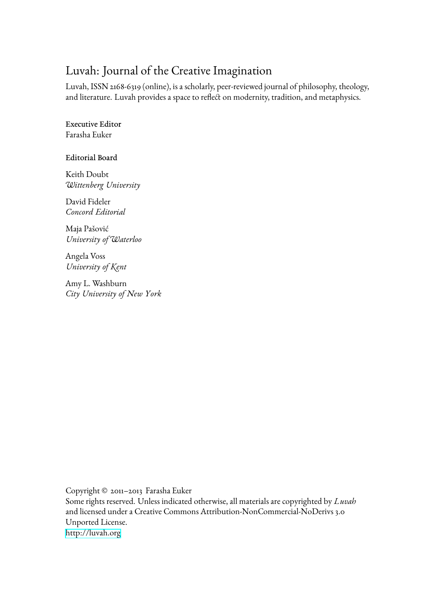### Luvah: Journal of the Creative Imagination

Luvah, ISSN 2168-6319 (online), is a scholarly, peer-reviewed journal of philosophy, theology, and literature. Luvah provides a space to reflect on modernity, tradition, and metaphysics.

Executive Editor Farasha Euker

#### Editorial Board

Keith Doubt *Wittenberg University*

David Fideler *Concord Editorial*

Maja Pašović *University of Waterloo*

Angela Voss *University of Kent*

Amy L. Washburn *City University of New York*

Copyright © 2011–2013 Farasha Euker

Some rights reserved. Unless indicated otherwise, all materials are copyrighted by *Luvah* and licensed under a Creative Commons Attribution-NonCommercial-NoDerivs 3.0 Unported License. <http://luvah.org>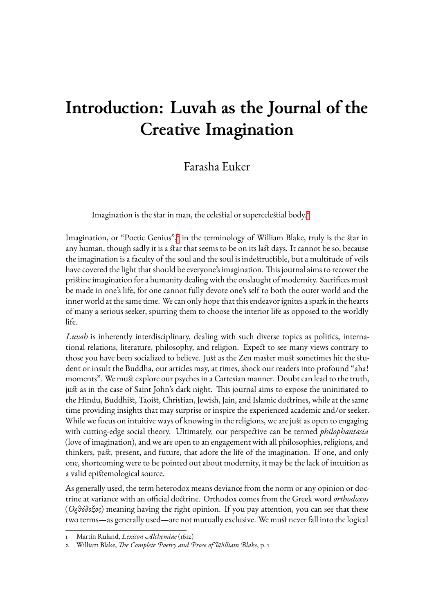## **Introduction: Luvah as the Journal of the Creative Imagination**

Farasha Euker

Imagination is the star in man, the celestial or supercelestial body.<sup>[1](#page-2-0)</sup>

Imagination, or "Poetic Genius",<sup>[2](#page-2-1)</sup> in the terminology of William Blake, truly is the star in any human, though sadly it is a star that seems to be on its last days. It cannot be so, because the imagination is a faculty of the soul and the soul is indestructible, but a multitude of veils have covered the light that should be everyone's imagination. This journal aims to recover the pristine imagination for a humanity dealing with the onslaught of modernity. Sacrifices must be made in one's life, for one cannot fully devote one's self to both the outer world and the inner world at the same time. We can only hope that this endeavor ignites a spark in the hearts of many a serious seeker, spurring them to choose the interior life as opposed to the worldly life.

*Luvah* is inherently interdisciplinary, dealing with such diverse topics as politics, international relations, literature, philosophy, and religion. Expect to see many views contrary to those you have been socialized to believe. Just as the Zen master must sometimes hit the student or insult the Buddha, our articles may, at times, shock our readers into profound "aha! moments". We must explore our psyches in a Cartesian manner. Doubt can lead to the truth, just as in the case of Saint John's dark night. This journal aims to expose the uninitiated to the Hindu, Buddhist, Taoist, Christian, Jewish, Jain, and Islamic doctrines, while at the same time providing insights that may surprise or inspire the experienced academic and/or seeker. While we focus on intuitive ways of knowing in the religions, we are just as open to engaging with cutting-edge social theory. Ultimately, our perspective can be termed *philophantasia* (love of imagination), and we are open to an engagement with all philosophies, religions, and thinkers, past, present, and future, that adore the life of the imagination. If one, and only one, shortcoming were to be pointed out about modernity, it may be the lack of intuition as a valid epistemological source.

As generally used, the term heterodox means deviance from the norm or any opinion or doctrine at variance with an official doctrine. Orthodox comes from the Greek word *orthodoxos* (*Ορθόδοξος*) meaning having the right opinion. If you pay attention, you can see that these two terms—as generally used—are not mutually exclusive. We must never fall into the logical

<span id="page-2-0"></span><sup>1</sup> Martin Ruland, *Lexicon Alchemiae* (1612)

<span id="page-2-1"></span><sup>2</sup> William Blake, *The Complete Poetry and Prose of William Blake*, p. 1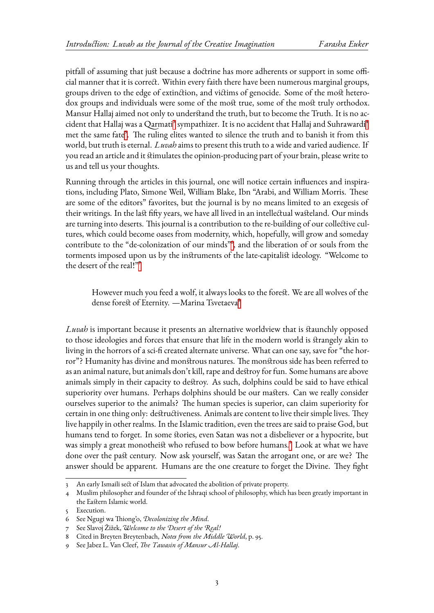pitfall of assuming that just because a doctrine has more adherents or support in some official manner that it is correct. Within every faith there have been numerous marginal groups, groups driven to the edge of extinction, and victims of genocide. Some of the most heterodox groups and individuals were some of the most true, some of the most truly orthodox. Mansur Hallaj aimed not only to understand the truth, but to become the Truth. It is no ac-cident that Hallaj was a Qarmati<sup>3</sup> sympathizer. It is no accident that Hallaj and Suhrawardi<sup>[4](#page-3-1)</sup> met the same fate<sup>[5](#page-3-2)</sup>. The ruling elites wanted to silence the truth and to banish it from this world, but truth is eternal. *Luvah* aims to present this truth to a wide and varied audience. If you read an article and it stimulates the opinion-producing part of your brain, please write to us and tell us your thoughts.

Running through the articles in this journal, one will notice certain influences and inspirations, including Plato, Simone Weil, William Blake, Ibn "Arabi, and William Morris. These are some of the editors" favorites, but the journal is by no means limited to an exegesis of their writings. In the last fifty years, we have all lived in an intellectual wasteland. Our minds are turning into deserts. This journal is a contribution to the re-building of our collective cultures, which could become oases from modernity, which, hopefully, will grow and someday contribute to the "de-colonization of our minds"[6](#page-3-3), and the liberation of or souls from the torments imposed upon us by the instruments of the late-capitalist ideology. "Welcome to the desert of the real!["7](#page-3-4)

However much you feed a wolf, it always looks to the forest. We are all wolves of the dense forest of Eternity. - Marina Tsvetaeva<sup>8</sup>

*Luvah* is important because it presents an alternative worldview that is staunchly opposed to those ideologies and forces that ensure that life in the modern world is strangely akin to living in the horrors of a sci-fi created alternate universe. What can one say, save for "the horror"? Humanity has divine and monstrous natures. The monstrous side has been referred to as an animal nature, but animals don't kill, rape and destroy for fun. Some humans are above animals simply in their capacity to destroy. As such, dolphins could be said to have ethical superiority over humans. Perhaps dolphins should be our masters. Can we really consider ourselves superior to the animals? The human species is superior, can claim superiority for certain in one thing only: destructiveness. Animals are content to live their simple lives. They live happily in other realms. In the Islamic tradition, even the trees are said to praise God, but humans tend to forget. In some stories, even Satan was not a disbeliever or a hypocrite, but was simply a great monotheist who refused to bow before humans.<sup>[9](#page-3-6)</sup> Look at what we have done over the past century. Now ask yourself, was Satan the arrogant one, or are we? The answer should be apparent. Humans are the one creature to forget the Divine. They fight

<span id="page-3-0"></span><sup>3</sup> An early Ismaili sect of Islam that advocated the abolition of private property.

<span id="page-3-1"></span><sup>4</sup> Muslim philosopher and founder of the Ishraqi school of philosophy, which has been greatly important in the Eastern Islamic world.

<span id="page-3-2"></span><sup>5</sup> Execution.

<span id="page-3-3"></span><sup>6</sup> See Ngugi wa Thiong'o, *Decolonizing the Mind*.

<span id="page-3-4"></span><sup>7</sup> See Slavoj Žižek, *Welcome to the Desert of the Real!*

<span id="page-3-5"></span><sup>8</sup> Cited in Breyten Breytenbach, *Notes from the Middle World*, p. 95.

<span id="page-3-6"></span><sup>9</sup> See Jabez L. Van Cleef, *The Tawasin of Mansur Al-Hallaj*.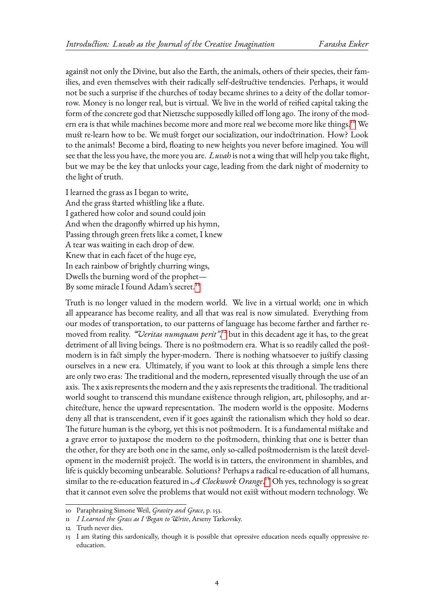against not only the Divine, but also the Earth, the animals, others of their species, their families, and even themselves with their radically self-destructive tendencies. Perhaps, it would not be such a surprise if the churches of today became shrines to a deity of the dollar tomorrow. Money is no longer real, but is virtual. We live in the world of reified capital taking the form of the concrete god that Nietzsche supposedly killed off long ago. The irony of the mod-ern era is that while machines become more and more real we become more like things.<sup>[10](#page-4-0)</sup> We must re-learn how to be. We must forget our socialization, our indoctrination. How? Look to the animals! Become a bird, floating to new heights you never before imagined. You will see that the less you have, the more you are. *Luvah* is not a wing that will help you take flight, but we may be the key that unlocks your cage, leading from the dark night of modernity to the light of truth.

I learned the grass as I began to write, And the grass started whistling like a flute. I gathered how color and sound could join And when the dragonfly whirred up his hymn, Passing through green frets like a comet, I knew A tear was waiting in each drop of dew. Knew that in each facet of the huge eye, In each rainbow of brightly churring wings, Dwells the burning word of the prophet— By some miracle I found Adam's secret.<sup>11</sup>

Truth is no longer valued in the modern world. We live in a virtual world; one in which all appearance has become reality, and all that was real is now simulated. Everything from our modes of transportation, to our patterns of language has become farther and farther removed from reality. *"Veritas numquam perit"*,[12](#page-4-2) but in this decadent age it has, to the great detriment of all living beings. There is no postmodern era. What is so readily called the postmodern is in fact simply the hyper-modern. There is nothing whatsoever to justify classing ourselves in a new era. Ultimately, if you want to look at this through a simple lens there are only two eras: The traditional and the modern, represented visually through the use of an axis. The x axis represents the modern and the y axis represents the traditional. The traditional world sought to transcend this mundane existence through religion, art, philosophy, and architecture, hence the upward representation. The modern world is the opposite. Moderns deny all that is transcendent, even if it goes against the rationalism which they hold so dear. The future human is the cyborg, yet this is not postmodern. It is a fundamental mistake and a grave error to juxtapose the modern to the postmodern, thinking that one is better than the other, for they are both one in the same, only so-called postmodernism is the latest development in the modernist project. The world is in tatters, the environment in shambles, and life is quickly becoming unbearable. Solutions? Perhaps a radical re-education of all humans, similar to the re-education featured in *A Clockwork Orange*.<sup>13</sup> Oh yes, technology is so great that it cannot even solve the problems that would not exist without modern technology. We

<span id="page-4-0"></span><sup>10</sup> Paraphrasing Simone Weil, *Gravity and Grace*, p. 153.

<span id="page-4-1"></span><sup>11</sup> *I Learned the Grass as I Began to Write*, Arseny Tarkovsky.

<span id="page-4-2"></span><sup>12</sup> Truth never dies.

<span id="page-4-3"></span><sup>13</sup> I am stating this sardonically, though it is possible that opressive education needs equally oppressive reeducation.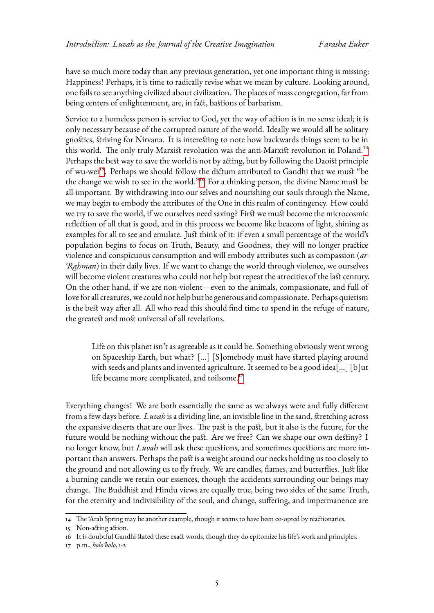have so much more today than any previous generation, yet one important thing is missing: Happiness! Perhaps, it is time to radically revise what we mean by culture. Looking around, one fails to see anything civilized about civilization. The places of mass congregation, far from being centers of enlightenment, are, in fact, bastions of barbarism.

Service to a homeless person is service to God, yet the way of action is in no sense ideal; it is only necessary because of the corrupted nature of the world. Ideally we would all be solitary gnostics, striving for Nirvana. It is interesting to note how backwards things seem to be in this world. The only truly Marxist revolution was the anti-Marxist revolution in Poland.<sup>14</sup> Perhaps the best way to save the world is not by acting, but by following the Daoist principle of wu-wei<sup>15</sup>. Perhaps we should follow the dictum attributed to Gandhi that we must "be the change we wish to see in the world."<sup>16</sup> For a thinking person, the divine Name must be all-important. By withdrawing into our selves and nourishing our souls through the Name, we may begin to embody the attributes of the One in this realm of contingency. How could we try to save the world, if we ourselves need saving? First we must become the microcosmic reflection of all that is good, and in this process we become like beacons of light, shining as examples for all to see and emulate. Just think of it: if even a small percentage of the world's population begins to focus on Truth, Beauty, and Goodness, they will no longer practice violence and conspicuous consumption and will embody attributes such as compassion (*ar-Rahman*) in their daily lives. If we want to change the world through violence, we ourselves will become violent creatures who could not help but repeat the atrocities of the last century. On the other hand, if we are non-violent—even to the animals, compassionate, and full of love for all creatures, we could not help but be generous and compassionate. Perhaps quietism is the best way after all. All who read this should find time to spend in the refuge of nature, the greatest and most universal of all revelations.

Life on this planet isn't as agreeable as it could be. Something obviously went wrong on Spaceship Earth, but what? […] [S]omebody must have started playing around with seeds and plants and invented agriculture. It seemed to be a good idea[…] [b]ut life became more complicated, and toilsome.<sup>[17](#page-5-3)</sup>

Everything changes! We are both essentially the same as we always were and fully different from a few days before. *Luvah* is a dividing line, an invisible line in the sand, stretching across the expansive deserts that are our lives. The past is the past, but it also is the future, for the future would be nothing without the past. Are we free? Can we shape our own destiny? I no longer know, but *Luvah* will ask these questions, and sometimes questions are more important than answers. Perhaps the past is a weight around our necks holding us too closely to the ground and not allowing us to fly freely. We are candles, flames, and butterflies. Just like a burning candle we retain our essences, though the accidents surrounding our beings may change. The Buddhist and Hindu views are equally true, being two sides of the same Truth, for the eternity and indivisibility of the soul, and change, suffering, and impermanence are

<span id="page-5-0"></span><sup>14</sup> The 'Arab Spring may be another example, though it seems to have been co-opted by reactionaries.

<span id="page-5-1"></span><sup>15</sup> Non-acting action.

<span id="page-5-2"></span><sup>16</sup> It is doubtful Gandhi stated these exact words, though they do epitomize his life's work and principles.

<span id="page-5-3"></span><sup>17</sup> p.m., *bolo'bolo*, 1-2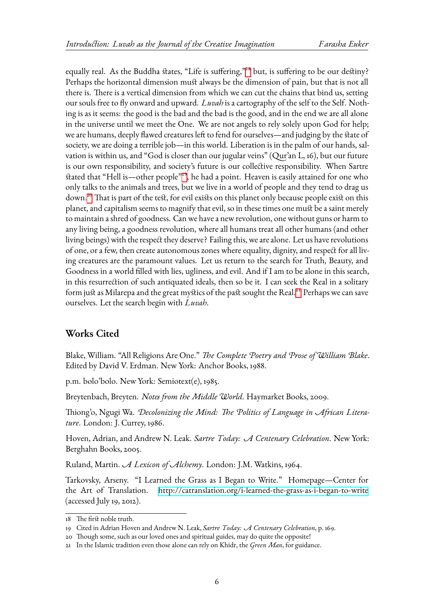equally real. As the Buddha states, "Life is suffering,"<sup>[18](#page-6-0)</sup> but, is suffering to be our destiny? Perhaps the horizontal dimension must always be the dimension of pain, but that is not all there is. There is a vertical dimension from which we can cut the chains that bind us, setting our souls free to fly onward and upward. *Luvah* is a cartography of the self to the Self. Nothing is as it seems: the good is the bad and the bad is the good, and in the end we are all alone in the universe until we meet the One. We are not angels to rely solely upon God for help; we are humans, deeply flawed creatures left to fend for ourselves—and judging by the state of society, we are doing a terrible job—in this world. Liberation is in the palm of our hands, salvation is within us, and "God is closer than our jugular veins" (Qur'an L, 16), but our future is our own responsibility, and society's future is our collective responsibility. When Sartre stated that "Hell is—other people["19,](#page-6-1) he had a point. Heaven is easily attained for one who only talks to the animals and trees, but we live in a world of people and they tend to drag us down.<sup>20</sup> That is part of the test, for evil exists on this planet only because people exist on this planet, and capitalism seems to magnify that evil, so in these times one must be a saint merely to maintain a shred of goodness. Can we have a new revolution, one without guns or harm to any living being, a goodness revolution, where all humans treat all other humans (and other living beings) with the respect they deserve? Failing this, we are alone. Let us have revolutions of one, or a few, then create autonomous zones where equality, dignity, and respect for all living creatures are the paramount values. Let us return to the search for Truth, Beauty, and Goodness in a world filled with lies, ugliness, and evil. And if I am to be alone in this search, in this resurrection of such antiquated ideals, then so be it. I can seek the Real in a solitary form just as Milarepa and the great mystics of the past sought the Real.<sup>[21](#page-6-3)</sup> Perhaps we can save ourselves. Let the search begin with *Luvah*.

#### **Works Cited**

Blake, William. "All Religions Are One." *The Complete Poetry and Prose of William Blake*. Edited by David V. Erdman. New York: Anchor Books, 1988.

p.m. bolo'bolo. New York: Semiotext(e), 1985.

Breytenbach, Breyten. *Notes from the Middle World*. Haymarket Books, 2009.

Thiong'o, Ngugi Wa. *Decolonizing the Mind: The Politics of Language in African Literature*. London: J. Currey, 1986.

Hoven, Adrian, and Andrew N. Leak. *Sartre Today: A Centenary Celebration*. New York: Berghahn Books, 2005.

Ruland, Martin. *A Lexicon of Alchemy*. London: J.M. Watkins, 1964.

Tarkovsky, Arseny. "I Learned the Grass as I Began to Write." Homepage—Center for the Art of Translation. <http://catranslation.org/i-learned-the-grass-as-i-began-to-write> (accessed July 19, 2012).

<span id="page-6-0"></span><sup>18</sup> The first noble truth.

<span id="page-6-1"></span><sup>19</sup> Cited in Adrian Hoven and Andrew N. Leak, *Sartre Today: A Centenary Celebration*, p. 169.

<span id="page-6-2"></span><sup>20</sup> Though some, such as our loved ones and spiritual guides, may do quite the opposite!

<span id="page-6-3"></span><sup>21</sup> In the Islamic tradition even those alone can rely on Khidr, the *Green Man*, for guidance.